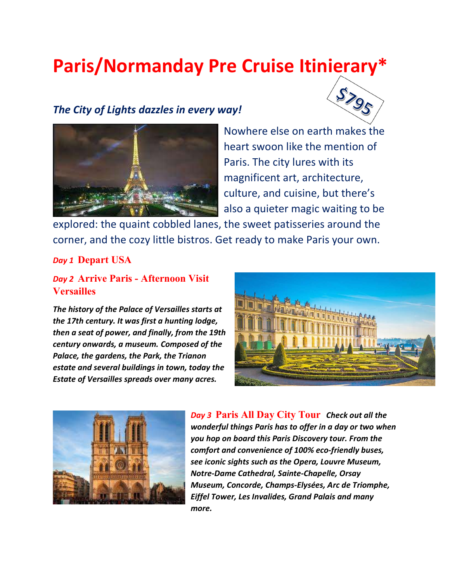# Paris/Normanday Pre Cruise Itinierary\*

# The City of Lights dazzles in every way!





Nowhere else on earth makes the heart swoon like the mention of Paris. The city lures with its magnificent art, architecture, culture, and cuisine, but there's also a quieter magic waiting to be

explored: the quaint cobbled lanes, the sweet patisseries around the corner, and the cozy little bistros. Get ready to make Paris your own.

#### Day 1 Depart USA

## Day 2 Arrive Paris - Afternoon Visit **Versailles**

The history of the Palace of Versailles starts at the 17th century. It was first a hunting lodge, then a seat of power, and finally, from the 19th century onwards, a museum. Composed of the Palace, the gardens, the Park, the Trianon estate and several buildings in town, today the Estate of Versailles spreads over many acres.





Day 3 Paris All Day City Tour Check out all the wonderful things Paris has to offer in a day or two when you hop on board this Paris Discovery tour. From the comfort and convenience of 100% eco-friendly buses, see iconic sights such as the Opera, Louvre Museum, Notre-Dame Cathedral, Sainte-Chapelle, Orsay Museum, Concorde, Champs-Elysées, Arc de Triomphe, Eiffel Tower, Les Invalides, Grand Palais and many more.